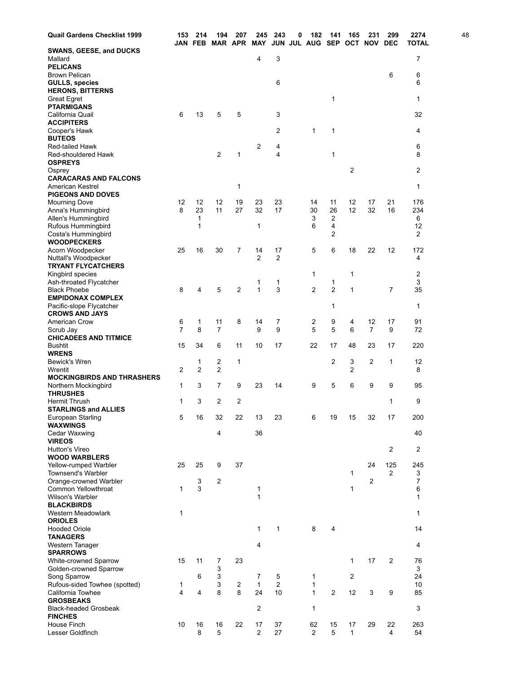| <b>Quail Gardens Checklist 1999</b>                 | 153 | 214<br><b>JAN FEB</b> | 194            | 207<br><b>MAR APR</b> | 245<br>MAY           | 243                 | 0 | 182<br>JUN JUL AUG SEP | 141                 | 165<br>ОСТ     | 231            | 299<br>NOV DEC | 2274<br><b>TOTAL</b> | 48 |
|-----------------------------------------------------|-----|-----------------------|----------------|-----------------------|----------------------|---------------------|---|------------------------|---------------------|----------------|----------------|----------------|----------------------|----|
| SWANS, GEESE, and DUCKS                             |     |                       |                |                       |                      |                     |   |                        |                     |                |                |                |                      |    |
| Mallard                                             |     |                       |                |                       | 4                    | 3                   |   |                        |                     |                |                |                | 7                    |    |
| <b>PELICANS</b><br><b>Brown Pelican</b>             |     |                       |                |                       |                      |                     |   |                        |                     |                |                | 6              | 6                    |    |
| <b>GULLS, species</b>                               |     |                       |                |                       |                      | 6                   |   |                        |                     |                |                |                | 6                    |    |
| <b>HERONS, BITTERNS</b>                             |     |                       |                |                       |                      |                     |   |                        |                     |                |                |                |                      |    |
| Great Egret                                         |     |                       |                |                       |                      |                     |   |                        | 1                   |                |                |                | 1                    |    |
| <b>PTARMIGANS</b>                                   |     |                       |                |                       |                      |                     |   |                        |                     |                |                |                |                      |    |
| California Quail<br><b>ACCIPITERS</b>               | 6   | 13                    | 5              | 5                     |                      | 3                   |   |                        |                     |                |                |                | 32                   |    |
| Cooper's Hawk                                       |     |                       |                |                       |                      | $\overline{2}$      |   | 1                      | 1                   |                |                |                | 4                    |    |
| <b>BUTEOS</b>                                       |     |                       |                |                       |                      |                     |   |                        |                     |                |                |                |                      |    |
| <b>Red-tailed Hawk</b>                              |     |                       |                |                       | $\overline{c}$       | 4                   |   |                        |                     |                |                |                | 6                    |    |
| Red-shouldered Hawk                                 |     |                       | 2              | 1                     |                      | 4                   |   |                        | $\mathbf{1}$        |                |                |                | 8                    |    |
| <b>OSPREYS</b>                                      |     |                       |                |                       |                      |                     |   |                        |                     |                |                |                |                      |    |
| Osprey<br><b>CARACARAS AND FALCONS</b>              |     |                       |                |                       |                      |                     |   |                        |                     | 2              |                |                | 2                    |    |
| <b>American Kestrel</b>                             |     |                       |                | 1                     |                      |                     |   |                        |                     |                |                |                | 1                    |    |
| <b>PIGEONS AND DOVES</b>                            |     |                       |                |                       |                      |                     |   |                        |                     |                |                |                |                      |    |
| <b>Mourning Dove</b>                                | 12  | 12                    | 12             | 19                    | 23                   | 23                  |   | 14                     | 11                  | 12             | 17             | 21             | 176                  |    |
| Anna's Hummingbird                                  | 8   | 23                    | 11             | 27                    | 32                   | 17                  |   | 30                     | 26                  | 12             | 32             | 16             | 234                  |    |
| Allen's Hummingbird                                 |     | 1                     |                |                       |                      |                     |   | 3                      | $\overline{2}$      |                |                |                | 6                    |    |
| Rufous Hummingbird                                  |     | 1                     |                |                       | 1                    |                     |   | 6                      | 4<br>$\overline{2}$ |                |                |                | 12                   |    |
| Costa's Hummingbird<br><b>WOODPECKERS</b>           |     |                       |                |                       |                      |                     |   |                        |                     |                |                |                | 2                    |    |
| Acorn Woodpecker                                    | 25  | 16                    | 30             | 7                     | 14                   | 17                  |   | 5                      | 6                   | 18             | 22             | 12             | 172                  |    |
| Nuttall's Woodpecker                                |     |                       |                |                       | $\overline{2}$       | $\overline{2}$      |   |                        |                     |                |                |                | 4                    |    |
| <b>TRYANT FLYCATCHERS</b>                           |     |                       |                |                       |                      |                     |   |                        |                     |                |                |                |                      |    |
| Kingbird species                                    |     |                       |                |                       |                      |                     |   | 1                      |                     | 1              |                |                | 2                    |    |
| Ash-throated Flycatcher                             |     |                       |                |                       | 1                    | 1                   |   |                        | 1                   |                |                |                | 3                    |    |
| <b>Black Phoebe</b><br><b>EMPIDONAX COMPLEX</b>     | 8   | 4                     | 5              | $\overline{2}$        | 1                    | 3                   |   | 2                      | $\overline{2}$      | 1              |                | 7              | 35                   |    |
| Pacific-slope Flycatcher                            |     |                       |                |                       |                      |                     |   |                        | 1                   |                |                |                | 1                    |    |
| <b>CROWS AND JAYS</b>                               |     |                       |                |                       |                      |                     |   |                        |                     |                |                |                |                      |    |
| American Crow                                       | 6   | 1                     | 11             | 8                     | 14                   | 7                   |   | 2                      | 9                   | 4              | 12             | 17             | 91                   |    |
| Scrub Jay                                           | 7   | 8                     | 7              |                       | 9                    | 9                   |   | 5                      | 5                   | 6              | 7              | 9              | 72                   |    |
| <b>CHICADEES AND TITMICE</b>                        |     |                       |                |                       |                      |                     |   |                        |                     |                |                |                |                      |    |
| <b>Bushtit</b><br><b>WRENS</b>                      | 15  | 34                    | 6              | 11                    | 10                   | 17                  |   | 22                     | 17                  | 48             | 23             | 17             | 220                  |    |
| <b>Bewick's Wren</b>                                |     | 1                     | 2              | 1                     |                      |                     |   |                        | $\overline{2}$      | 3              | $\overline{2}$ | 1              | 12                   |    |
| Wrentit                                             | 2   | 2                     | $\overline{2}$ |                       |                      |                     |   |                        |                     | 2              |                |                | 8                    |    |
| <b>MOCKINGBIRDS AND THRASHERS</b>                   |     |                       |                |                       |                      |                     |   |                        |                     |                |                |                |                      |    |
| Northern Mockingbird                                | 1   | 3                     | 7              | 9                     | 23                   | 14                  |   | 9                      | 5                   | 6              | 9              | 9              | 95                   |    |
| <b>THRUSHES</b>                                     |     |                       |                |                       |                      |                     |   |                        |                     |                |                |                |                      |    |
| <b>Hermit Thrush</b><br><b>STARLINGS and ALLIES</b> | 1   | 3                     | $\overline{2}$ | 2                     |                      |                     |   |                        |                     |                |                | 1              | 9                    |    |
| European Starling                                   | 5   | 16                    | 32             | 22                    | 13                   | 23                  |   | 6                      | 19                  | 15             | 32             | 17             | 200                  |    |
| <b>WAXWINGS</b>                                     |     |                       |                |                       |                      |                     |   |                        |                     |                |                |                |                      |    |
| Cedar Waxwing                                       |     |                       | 4              |                       | 36                   |                     |   |                        |                     |                |                |                | 40                   |    |
| <b>VIREOS</b>                                       |     |                       |                |                       |                      |                     |   |                        |                     |                |                |                |                      |    |
| Hutton's Vireo<br><b>WOOD WARBLERS</b>              |     |                       |                |                       |                      |                     |   |                        |                     |                |                | 2              | 2                    |    |
| Yellow-rumped Warbler                               | 25  | 25                    | 9              | 37                    |                      |                     |   |                        |                     |                | 24             | 125            | 245                  |    |
| Townsend's Warbler                                  |     |                       |                |                       |                      |                     |   |                        |                     | 1              |                | $\overline{2}$ | 3                    |    |
| Orange-crowned Warbler                              |     | 3                     | 2              |                       |                      |                     |   |                        |                     |                | 2              |                | 7                    |    |
| Common Yellowthroat                                 | 1   | 3                     |                |                       | 1                    |                     |   |                        |                     | 1              |                |                | 6                    |    |
| Wilson's Warbler                                    |     |                       |                |                       | $\mathbf{1}$         |                     |   |                        |                     |                |                |                | 1                    |    |
| <b>BLACKBIRDS</b>                                   |     |                       |                |                       |                      |                     |   |                        |                     |                |                |                |                      |    |
| Western Meadowlark<br><b>ORIOLES</b>                | 1   |                       |                |                       |                      |                     |   |                        |                     |                |                |                | 1                    |    |
| <b>Hooded Oriole</b>                                |     |                       |                |                       | 1                    | 1                   |   | 8                      | 4                   |                |                |                | 14                   |    |
| <b>TANAGERS</b>                                     |     |                       |                |                       |                      |                     |   |                        |                     |                |                |                |                      |    |
| Western Tanager                                     |     |                       |                |                       | 4                    |                     |   |                        |                     |                |                |                | 4                    |    |
| <b>SPARROWS</b>                                     |     |                       |                |                       |                      |                     |   |                        |                     |                |                |                |                      |    |
| White-crowned Sparrow                               | 15  | 11                    | 7              | 23                    |                      |                     |   |                        |                     | $\mathbf{1}$   | 17             | $\overline{2}$ | 76                   |    |
| Golden-crowned Sparrow<br>Song Sparrow              |     | 6                     | 3<br>3         |                       | 7                    |                     |   | 1                      |                     | $\overline{c}$ |                |                | 3<br>24              |    |
| Rufous-sided Towhee (spotted)                       | 1   |                       | 3              | 2                     | $\mathbf{1}$         | 5<br>$\overline{2}$ |   | 1                      |                     |                |                |                | 10                   |    |
| California Towhee                                   | 4   | 4                     | 8              | 8                     | 24                   | 10                  |   | $\mathbf{1}$           | $\overline{2}$      | 12             | 3              | 9              | 85                   |    |
| <b>GROSBEAKS</b>                                    |     |                       |                |                       |                      |                     |   |                        |                     |                |                |                |                      |    |
| <b>Black-headed Grosbeak</b>                        |     |                       |                |                       | $\overline{2}$       |                     |   | 1                      |                     |                |                |                | 3                    |    |
| <b>FINCHES</b>                                      |     |                       |                |                       |                      |                     |   |                        |                     |                |                |                |                      |    |
| House Finch<br>Lesser Goldfinch                     | 10  | 16<br>8               | 16<br>5        | 22                    | 17<br>$\overline{2}$ | 37<br>27            |   | 62<br>$\overline{2}$   | 15<br>5             | 17<br>1        | 29             | 22<br>4        | 263<br>54            |    |
|                                                     |     |                       |                |                       |                      |                     |   |                        |                     |                |                |                |                      |    |